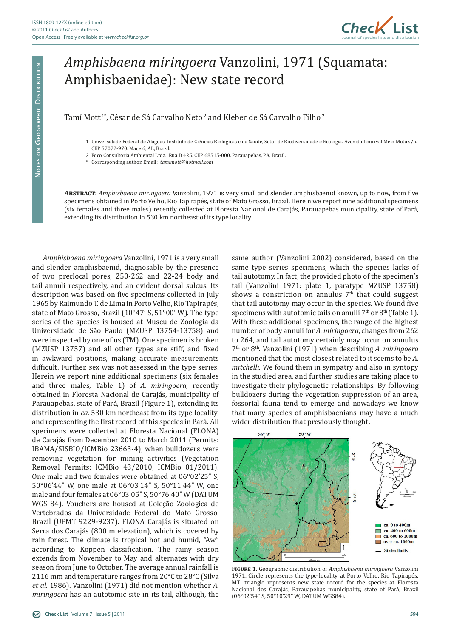

## *Amphisbaena miringoera* Vanzolini, 1971 (Squamata: Amphisbaenidae): New state record

## Tamí Mott<sup>1</sup>\*, César de Sá Carvalho Neto<sup>2</sup> and Kleber de Sá Carvalho Filho<sup>2</sup>

- 1 Universidade Federal de Alagoas, Instituto de Ciências Biológicas e da Saúde, Setor de Biodiversidade e Ecologia. Avenida Lourival Melo Mota s/n. CEP 57072-970. Maceió, AL, Brazil.
- 2 Foco Consultoria Ambiental Ltda., Rua D 425. CEP 68515-000. Parauapebas, PA, Brazil.
- \* Corresponding author. Email: *tamimott@hotmail.com*

**Abstract:** *Amphisbaena miringoera* Vanzolini, 1971 is very small and slender amphisbaenid known, up to now, from five specimens obtained in Porto Velho, Rio Tapirapés, state of Mato Grosso, Brazil. Herein we report nine additional specimens (six females and three males) recently collected at Floresta Nacional de Carajás, Parauapebas municipality, state of Pará, extending its distribution in 530 km northeast of its type locality.

*Amphisbaena miringoera* Vanzolini, 1971 is a very small and slender amphisbaenid, diagnosable by the presence of two preclocal pores, 250-262 and 22-24 body and tail annuli respectively, and an evident dorsal sulcus. Its description was based on five specimens collected in July 1965 by Raimundo T. de Lima in Porto Velho, Rio Tapirapés, state of Mato Grosso, Brazil (10°47' S, 51°00' W). The type series of the species is housed at Museu de Zoologia da Universidade de São Paulo (MZUSP 13754-13758) and were inspected by one of us (TM). One specimen is broken (MZUSP 13757) and all other types are stiff, and fixed in awkward positions, making accurate measurements difficult. Further, sex was not assessed in the type series. Herein we report nine additional specimens (six females and three males, Table 1) of *A. miringoera*, recently obtained in Floresta Nacional de Carajás, municipality of Parauapebas, state of Pará, Brazil (Figure 1), extending its distribution in *ca*. 530 km northeast from its type locality, and representing the first record of this species in Pará. All specimens were collected at Floresta Nacional (FLONA) de Carajás from December 2010 to March 2011 (Permits: IBAMA/SISBIO/ICMBio 23663-4), when bulldozers were removing vegetation for mining activities (Vegetation Removal Permits: ICMBio 43/2010, ICMBio 01/2011). One male and two females were obtained at 06°02'25" S, 50°06'44" W, one male at 06°03'14" S, 50°11'44" W, one male and four females at 06°03'05" S, 50°76'40" W (DATUM WGS 84). Vouchers are housed at Coleção Zoológica de Vertebrados da Universidade Federal do Mato Grosso, Brazil (UFMT 9229-9237). FLONA Carajás is situated on Serra dos Carajás (800 m elevation), which is covered by rain forest. The climate is tropical hot and humid, "Aw" according to Köppen classification. The rainy season extends from November to May and alternates with dry season from June to October. The average annual rainfall is 2116 mm and temperature ranges from 20°C to 28°C (Silva *et al*. 1986). Vanzolini (1971) did not mention whether *A. miringoera* has an autotomic site in its tail, although, the

same author (Vanzolini 2002) considered, based on the same type series specimens, which the species lacks of tail autotomy. In fact, the provided photo of the specimen's tail (Vanzolini 1971: plate 1, paratype MZUSP 13758) shows a constriction on annulus  $7<sup>th</sup>$  that could suggest that tail autotomy may occur in the species. We found five specimens with autotomic tails on anulli  $7<sup>th</sup>$  or  $8<sup>th</sup>$  (Table 1). With these additional specimens, the range of the highest number of body annuli for *A. miringoera*, changes from 262 to 264, and tail autotomy certainly may occur on annulus 7th or 8th. Vanzolini (1971) when describing *A. miringoera*  mentioned that the most closest related to it seems to be *A. mitchelli.* We found them in sympatry and also in syntopy in the studied area, and further studies are taking place to investigate their phylogenetic relationships. By following bulldozers during the vegetation suppression of an area, fossorial fauna tend to emerge and nowadays we know that many species of amphisbaenians may have a much wider distribution that previously thought.



**Figure 1.** Geographic distribution of *Amphisbaena miringoera* Vanzolini 1971. Circle represents the type-locality at Porto Velho, Rio Tapirapés, MT; triangle represents new state record for the species at Floresta Nacional dos Carajás, Parauapebas municipality, state of Pará, Brazil (06°02'54" S, 50°10'29" W, DATUM WGS84).